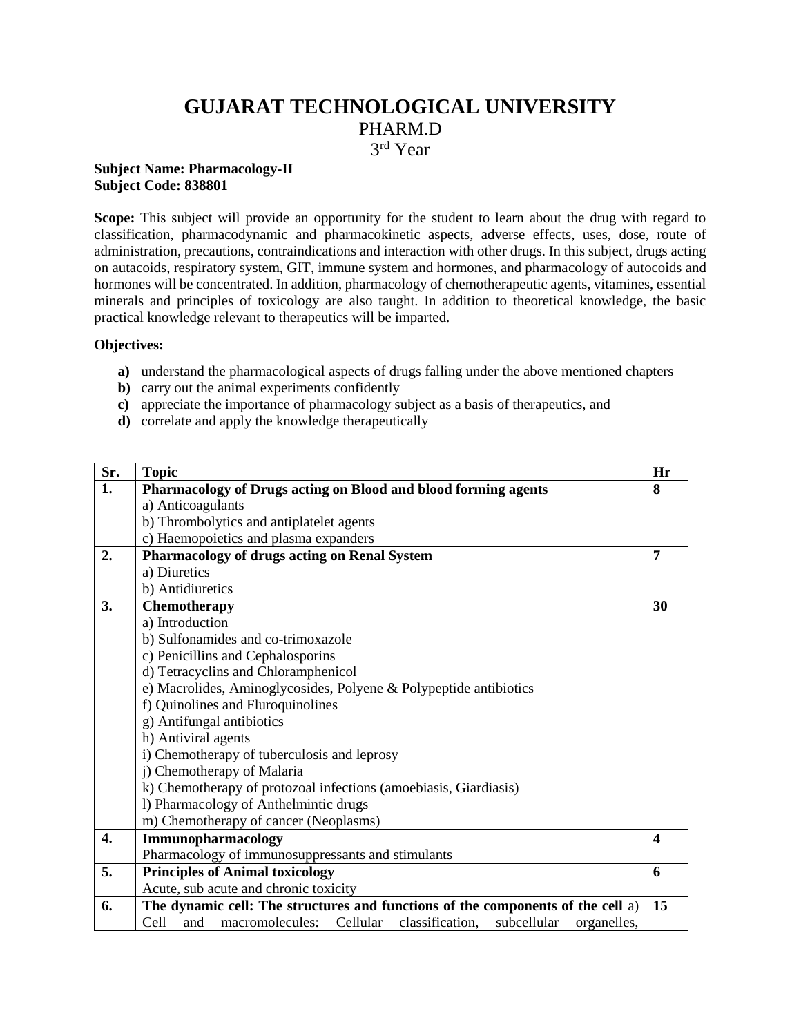# **GUJARAT TECHNOLOGICAL UNIVERSITY** PHARM.D

3 rd Year

#### **Subject Name: Pharmacology-II Subject Code: 838801**

**Scope:** This subject will provide an opportunity for the student to learn about the drug with regard to classification, pharmacodynamic and pharmacokinetic aspects, adverse effects, uses, dose, route of administration, precautions, contraindications and interaction with other drugs. In this subject, drugs acting on autacoids, respiratory system, GIT, immune system and hormones, and pharmacology of autocoids and hormones will be concentrated. In addition, pharmacology of chemotherapeutic agents, vitamines, essential minerals and principles of toxicology are also taught. In addition to theoretical knowledge, the basic practical knowledge relevant to therapeutics will be imparted.

### **Objectives:**

- **a)** understand the pharmacological aspects of drugs falling under the above mentioned chapters
- **b)** carry out the animal experiments confidently
- **c)** appreciate the importance of pharmacology subject as a basis of therapeutics, and
- **d)** correlate and apply the knowledge therapeutically

| Sr. | <b>Topic</b>                                                                                | Hr               |  |
|-----|---------------------------------------------------------------------------------------------|------------------|--|
| 1.  | Pharmacology of Drugs acting on Blood and blood forming agents                              | 8                |  |
|     | a) Anticoagulants                                                                           |                  |  |
|     | b) Thrombolytics and antiplatelet agents                                                    |                  |  |
|     | c) Haemopoietics and plasma expanders                                                       |                  |  |
| 2.  | <b>Pharmacology of drugs acting on Renal System</b><br>7                                    |                  |  |
|     | a) Diuretics                                                                                |                  |  |
|     | b) Antidiuretics                                                                            |                  |  |
| 3.  | Chemotherapy                                                                                | 30               |  |
|     | a) Introduction                                                                             |                  |  |
|     | b) Sulfonamides and co-trimoxazole                                                          |                  |  |
|     | c) Penicillins and Cephalosporins                                                           |                  |  |
|     | d) Tetracyclins and Chloramphenicol                                                         |                  |  |
|     | e) Macrolides, Aminoglycosides, Polyene & Polypeptide antibiotics                           |                  |  |
|     | f) Quinolines and Fluroquinolines                                                           |                  |  |
|     | g) Antifungal antibiotics                                                                   |                  |  |
|     | h) Antiviral agents                                                                         |                  |  |
|     | i) Chemotherapy of tuberculosis and leprosy                                                 |                  |  |
|     | j) Chemotherapy of Malaria                                                                  |                  |  |
|     | k) Chemotherapy of protozoal infections (amoebiasis, Giardiasis)                            |                  |  |
|     | 1) Pharmacology of Anthelmintic drugs                                                       |                  |  |
|     | m) Chemotherapy of cancer (Neoplasms)                                                       |                  |  |
| 4.  | Immunopharmacology                                                                          | $\boldsymbol{4}$ |  |
|     | Pharmacology of immunosuppressants and stimulants                                           |                  |  |
| 5.  | <b>Principles of Animal toxicology</b>                                                      | 6                |  |
|     | Acute, sub acute and chronic toxicity                                                       |                  |  |
| 6.  | The dynamic cell: The structures and functions of the components of the cell a)             | 15               |  |
|     | Cell<br>and<br>macromolecules:<br>Cellular<br>classification,<br>subcellular<br>organelles, |                  |  |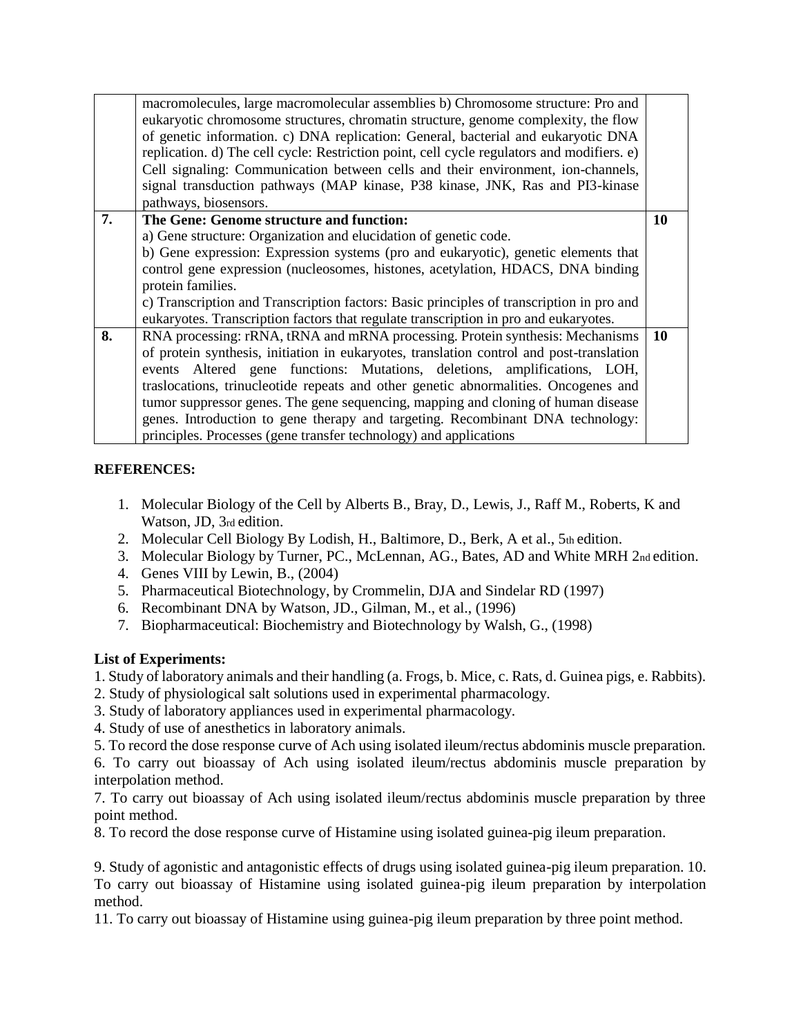|    | macromolecules, large macromolecular assemblies b) Chromosome structure: Pro and<br>eukaryotic chromosome structures, chromatin structure, genome complexity, the flow<br>of genetic information. c) DNA replication: General, bacterial and eukaryotic DNA<br>replication. d) The cell cycle: Restriction point, cell cycle regulators and modifiers. e)<br>Cell signaling: Communication between cells and their environment, ion-channels,<br>signal transduction pathways (MAP kinase, P38 kinase, JNK, Ras and PI3-kinase<br>pathways, biosensors. |    |  |  |  |
|----|---------------------------------------------------------------------------------------------------------------------------------------------------------------------------------------------------------------------------------------------------------------------------------------------------------------------------------------------------------------------------------------------------------------------------------------------------------------------------------------------------------------------------------------------------------|----|--|--|--|
| 7. | The Gene: Genome structure and function:                                                                                                                                                                                                                                                                                                                                                                                                                                                                                                                | 10 |  |  |  |
|    | a) Gene structure: Organization and elucidation of genetic code.                                                                                                                                                                                                                                                                                                                                                                                                                                                                                        |    |  |  |  |
|    | b) Gene expression: Expression systems (pro and eukaryotic), genetic elements that                                                                                                                                                                                                                                                                                                                                                                                                                                                                      |    |  |  |  |
|    | control gene expression (nucleosomes, histones, acetylation, HDACS, DNA binding                                                                                                                                                                                                                                                                                                                                                                                                                                                                         |    |  |  |  |
|    | protein families.                                                                                                                                                                                                                                                                                                                                                                                                                                                                                                                                       |    |  |  |  |
|    | c) Transcription and Transcription factors: Basic principles of transcription in pro and                                                                                                                                                                                                                                                                                                                                                                                                                                                                |    |  |  |  |
|    | eukaryotes. Transcription factors that regulate transcription in pro and eukaryotes.                                                                                                                                                                                                                                                                                                                                                                                                                                                                    |    |  |  |  |
| 8. | RNA processing: rRNA, tRNA and mRNA processing. Protein synthesis: Mechanisms                                                                                                                                                                                                                                                                                                                                                                                                                                                                           | 10 |  |  |  |
|    | of protein synthesis, initiation in eukaryotes, translation control and post-translation                                                                                                                                                                                                                                                                                                                                                                                                                                                                |    |  |  |  |
|    | events Altered gene functions: Mutations, deletions, amplifications, LOH,                                                                                                                                                                                                                                                                                                                                                                                                                                                                               |    |  |  |  |
|    | traslocations, trinucleotide repeats and other genetic abnormalities. Oncogenes and                                                                                                                                                                                                                                                                                                                                                                                                                                                                     |    |  |  |  |
|    | tumor suppressor genes. The gene sequencing, mapping and cloning of human disease                                                                                                                                                                                                                                                                                                                                                                                                                                                                       |    |  |  |  |
|    | genes. Introduction to gene therapy and targeting. Recombinant DNA technology:                                                                                                                                                                                                                                                                                                                                                                                                                                                                          |    |  |  |  |
|    | principles. Processes (gene transfer technology) and applications                                                                                                                                                                                                                                                                                                                                                                                                                                                                                       |    |  |  |  |
|    |                                                                                                                                                                                                                                                                                                                                                                                                                                                                                                                                                         |    |  |  |  |

# **REFERENCES:**

- 1. Molecular Biology of the Cell by Alberts B., Bray, D., Lewis, J., Raff M., Roberts, K and Watson, JD, 3rd edition.
- 2. Molecular Cell Biology By Lodish, H., Baltimore, D., Berk, A et al., 5th edition.
- 3. Molecular Biology by Turner, PC., McLennan, AG., Bates, AD and White MRH 2nd edition.
- 4. Genes VIII by Lewin, B., (2004)
- 5. Pharmaceutical Biotechnology, by Crommelin, DJA and Sindelar RD (1997)
- 6. Recombinant DNA by Watson, JD., Gilman, M., et al., (1996)
- 7. Biopharmaceutical: Biochemistry and Biotechnology by Walsh, G., (1998)

# **List of Experiments:**

1. Study of laboratory animals and their handling (a. Frogs, b. Mice, c. Rats, d. Guinea pigs, e. Rabbits).

- 2. Study of physiological salt solutions used in experimental pharmacology.
- 3. Study of laboratory appliances used in experimental pharmacology.
- 4. Study of use of anesthetics in laboratory animals.
- 5. To record the dose response curve of Ach using isolated ileum/rectus abdominis muscle preparation.

6. To carry out bioassay of Ach using isolated ileum/rectus abdominis muscle preparation by interpolation method.

7. To carry out bioassay of Ach using isolated ileum/rectus abdominis muscle preparation by three point method.

8. To record the dose response curve of Histamine using isolated guinea-pig ileum preparation.

9. Study of agonistic and antagonistic effects of drugs using isolated guinea-pig ileum preparation. 10. To carry out bioassay of Histamine using isolated guinea-pig ileum preparation by interpolation method.

11. To carry out bioassay of Histamine using guinea-pig ileum preparation by three point method.